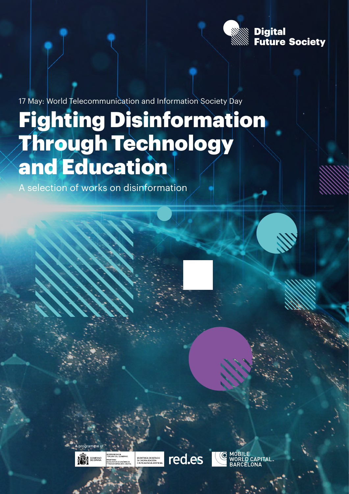

CAPITAL

17 May: World Telecommunication and Information Society Day

# Fighting Disinformation Through Technology and Education

A selection of works on disinformation

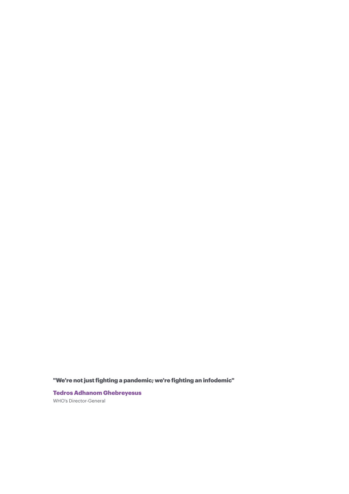"We're not just fighting a pandemic; we're fighting an infodemic"

Tedros Adhanom Ghebreyesus WHO's Director-General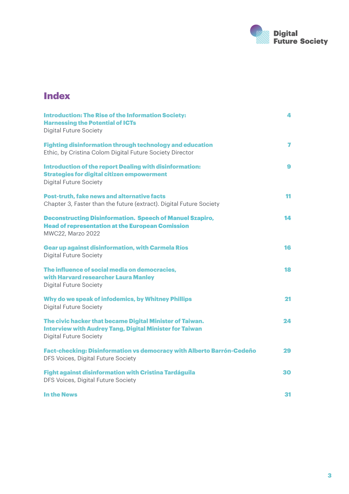

### **Index**

| <b>Introduction: The Rise of the Information Society:</b><br><b>Harnessing the Potential of ICTs</b><br><b>Digital Future Society</b>                       | 4                        |
|-------------------------------------------------------------------------------------------------------------------------------------------------------------|--------------------------|
| <b>Fighting disinformation through technology and education</b><br>Ethic, by Cristina Colom Digital Future Society Director                                 | $\overline{\phantom{a}}$ |
| <b>Introduction of the report Dealing with disinformation:</b><br><b>Strategies for digital citizen empowerment</b><br><b>Digital Future Society</b>        | 9                        |
| Post-truth, fake news and alternative facts<br>Chapter 3, Faster than the future (extract). Digital Future Society                                          | 11                       |
| <b>Deconstructing Disinformation. Speech of Manuel Szapiro,</b><br><b>Head of representation at the European Comission</b><br>MWC22, Marzo 2022             | 14                       |
| <b>Gear up against disinformation, with Carmela Ríos</b><br><b>Digital Future Society</b>                                                                   | 16                       |
| The influence of social media on democracies,<br>with Harvard researcher Laura Manley<br><b>Digital Future Society</b>                                      | 18                       |
| Why do we speak of infodemics, by Whitney Phillips<br><b>Digital Future Society</b>                                                                         | 21                       |
| The civic hacker that became Digital Minister of Taiwan.<br><b>Interview with Audrey Tang, Digital Minister for Taiwan</b><br><b>Digital Future Society</b> | 24                       |
| Fact-checking: Disinformation vs democracy with Alberto Barrón-Cedeño<br>DFS Voices, Digital Future Society                                                 | 29                       |
| Fight against disinformation with Cristina Tardáguila<br>DFS Voices, Digital Future Society                                                                 | 30                       |
| <b>In the News</b>                                                                                                                                          | 31                       |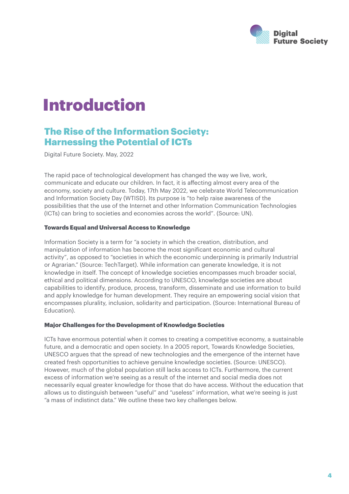

## Introduction

### The Rise of the Information Society: Harnessing the Potential of ICTs

Digital Future Society. May, 2022

The rapid pace of technological development has changed the way we live, work, communicate and educate our children. In fact, it is affecting almost every area of the economy, society and culture. Today, 17th May 2022, we celebrate World Telecommunication and Information Society Day (WTISD). Its purpose is "to help raise awareness of the possibilities that the use of the Internet and other Information Communication Technologies (ICTs) can bring to societies and economies across the world". (Source: UN).

#### Towards Equal and Universal Access to Knowledge

Information Society is a term for "a society in which the creation, distribution, and manipulation of information has become the most significant economic and cultural activity", as opposed to "societies in which the economic underpinning is primarily Industrial or Agrarian." (Source: TechTarget). While information can generate knowledge, it is not knowledge in itself. The concept of knowledge societies encompasses much broader social, ethical and political dimensions. According to UNESCO, knowledge societies are about capabilities to identify, produce, process, transform, disseminate and use information to build and apply knowledge for human development. They require an empowering social vision that encompasses plurality, inclusion, solidarity and participation. (Source: International Bureau of Education).

#### Major Challenges for the Development of Knowledge Societies

ICTs have enormous potential when it comes to creating a competitive economy, a sustainable future, and a democratic and open society. In a 2005 report, Towards Knowledge Societies, UNESCO argues that the spread of new technologies and the emergence of the internet have created fresh opportunities to achieve genuine knowledge societies. (Source: UNESCO). However, much of the global population still lacks access to ICTs. Furthermore, the current excess of information we're seeing as a result of the internet and social media does not necessarily equal greater knowledge for those that do have access. Without the education that allows us to distinguish between "useful" and "useless" information, what we're seeing is just "a mass of indistinct data." We outline these two key challenges below.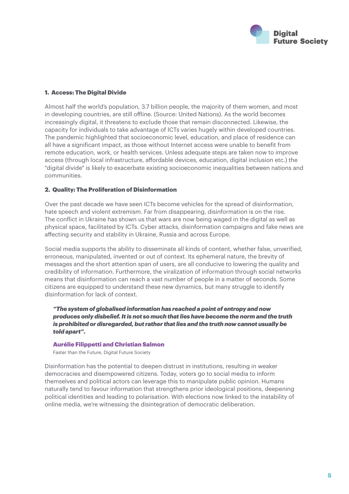

#### 1. Access: The Digital Divide

Almost half the world's population, 3.7 billion people, the majority of them women, and most in developing countries, are still offline. (Source: United Nations). As the world becomes increasingly digital, it threatens to exclude those that remain disconnected. Likewise, the capacity for individuals to take advantage of ICTs varies hugely within developed countries. The pandemic highlighted that socioeconomic level, education, and place of residence can all have a significant impact, as those without Internet access were unable to benefit from remote education, work, or health services. Unless adequate steps are taken now to improve access (through local infrastructure, affordable devices, education, digital inclusion etc.) the "digital divide" is likely to exacerbate existing socioeconomic inequalities between nations and communities.

#### 2. Quality: The Proliferation of Disinformation

Over the past decade we have seen ICTs become vehicles for the spread of disinformation, hate speech and violent extremism. Far from disappearing, disinformation is on the rise. The conflict in Ukraine has shown us that wars are now being waged in the digital as well as physical space, facilitated by ICTs. Cyber attacks, disinformation campaigns and fake news are affecting security and stability in Ukraine, Russia and across Europe.

Social media supports the ability to disseminate all kinds of content, whether false, unverified, erroneous, manipulated, invented or out of context. Its ephemeral nature, the brevity of messages and the short attention span of users, are all conducive to lowering the quality and credibility of information. Furthermore, the viralization of information through social networks means that disinformation can reach a vast number of people in a matter of seconds. Some citizens are equipped to understand these new dynamics, but many struggle to identify disinformation for lack of context.

*"The system of globalised information has reached a point of entropy and now produces only disbelief. It is not so much that lies have become the norm and the truth is prohibited or disregarded, but rather that lies and the truth now cannot usually be told apart".*

#### Aurélie Filippetti and Christian Salmon

Faster than the Future, Digital Future Society

Disinformation has the potential to deepen distrust in institutions, resulting in weaker democracies and disempowered citizens. Today, voters go to social media to inform themselves and political actors can leverage this to manipulate public opinion. Humans naturally tend to favour information that strengthens prior ideological positions, deepening political identities and leading to polarisation. With elections now linked to the instability of online media, we're witnessing the disintegration of democratic deliberation.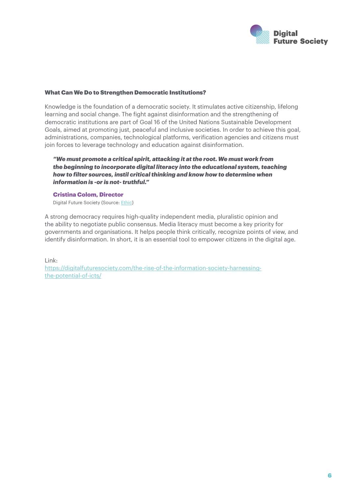

#### What Can We Do to Strengthen Democratic Institutions?

Knowledge is the foundation of a democratic society. It stimulates active citizenship, lifelong learning and social change. The fight against disinformation and the strengthening of democratic institutions are part of Goal 16 of the United Nations Sustainable Development Goals, aimed at promoting just, peaceful and inclusive societies. In order to achieve this goal, administrations, companies, technological platforms, verification agencies and citizens must join forces to leverage technology and education against disinformation.

#### *"We must promote a critical spirit, attacking it at the root. We must work from the beginning to incorporate digital literacy into the educational system, teaching how to filter sources, instil critical thinking and know how to determine when information is -or is not- truthful."*

#### Cristina Colom, Director

Digital Future Society (Source: [Ethic](https://ethic.es/2022/03/combatir-la-desinformacion-a-traves-de-la-tecnologia-y-la-educacion/))

A strong democracy requires high-quality independent media, pluralistic opinion and the ability to negotiate public consensus. Media literacy must become a key priority for governments and organisations. It helps people think critically, recognize points of view, and identify disinformation. In short, it is an essential tool to empower citizens in the digital age.

Link:

[https://digitalfuturesociety.com/the-rise-of-the-information-society-harnessing](https://digitalfuturesociety.com/the-rise-of-the-information-society-harnessing-the-potential-of-icts/)[the-potential-of-icts/](https://digitalfuturesociety.com/the-rise-of-the-information-society-harnessing-the-potential-of-icts/)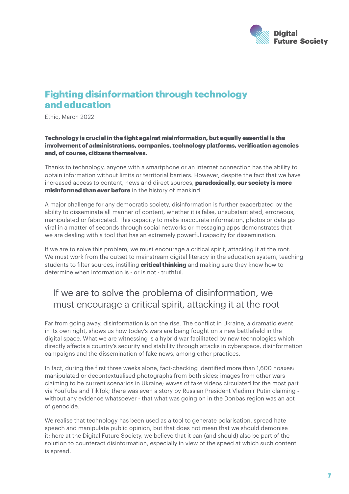

### Fighting disinformation through technology and education

Ethic, March 2022

#### Technology is crucial in the fight against misinformation, but equally essential is the involvement of administrations, companies, technology platforms, verification agencies and, of course, citizens themselves.

Thanks to technology, anyone with a smartphone or an internet connection has the ability to obtain information without limits or territorial barriers. However, despite the fact that we have increased access to content, news and direct sources, **paradoxically, our society is more** misinformed than ever before in the history of mankind.

A major challenge for any democratic society, disinformation is further exacerbated by the ability to disseminate all manner of content, whether it is false, unsubstantiated, erroneous, manipulated or fabricated. This capacity to make inaccurate information, photos or data go viral in a matter of seconds through social networks or messaging apps demonstrates that we are dealing with a tool that has an extremely powerful capacity for dissemination.

If we are to solve this problem, we must encourage a critical spirit, attacking it at the root. We must work from the outset to mainstream digital literacy in the education system, teaching students to filter sources, instilling **critical thinking** and making sure they know how to determine when information is - or is not - truthful.

### If we are to solve the problema of disinformation, we must encourage a critical spirit, attacking it at the root

Far from going away, disinformation is on the rise. The conflict in Ukraine, a dramatic event in its own right, shows us how today's wars are being fought on a new battlefield in the digital space. What we are witnessing is a hybrid war facilitated by new technologies which directly affects a country's security and stability through attacks in cyberspace, disinformation campaigns and the dissemination of fake news, among other practices.

In fact, during the first three weeks alone, fact-checking identified more than 1,600 hoaxes: manipulated or decontextualised photographs from both sides; images from other wars claiming to be current scenarios in Ukraine; waves of fake videos circulated for the most part via YouTube and TikTok; there was even a story by Russian President Vladimir Putin claiming without any evidence whatsoever - that what was going on in the Donbas region was an act of genocide.

We realise that technology has been used as a tool to generate polarisation, spread hate speech and manipulate public opinion, but that does not mean that we should demonise it: here at the Digital Future Society, we believe that it can (and should) also be part of the solution to counteract disinformation, especially in view of the speed at which such content is spread.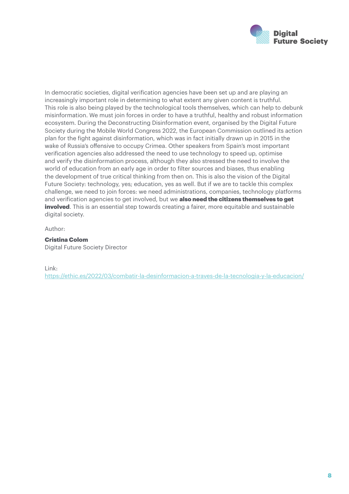

In democratic societies, digital verification agencies have been set up and are playing an increasingly important role in determining to what extent any given content is truthful. This role is also being played by the technological tools themselves, which can help to debunk misinformation. We must join forces in order to have a truthful, healthy and robust information ecosystem. During the Deconstructing Disinformation event, organised by the Digital Future Society during the Mobile World Congress 2022, the European Commission outlined its action plan for the fight against disinformation, which was in fact initially drawn up in 2015 in the wake of Russia's offensive to occupy Crimea. Other speakers from Spain's most important verification agencies also addressed the need to use technology to speed up, optimise and verify the disinformation process, although they also stressed the need to involve the world of education from an early age in order to filter sources and biases, thus enabling the development of true critical thinking from then on. This is also the vision of the Digital Future Society: technology, yes; education, yes as well. But if we are to tackle this complex challenge, we need to join forces: we need administrations, companies, technology platforms and verification agencies to get involved, but we also need the citizens themselves to get **involved**. This is an essential step towards creating a fairer, more equitable and sustainable digital society.

Author:

#### Cristina Colom Digital Future Society Director

#### Link:

<https://ethic.es/2022/03/combatir-la-desinformacion-a-traves-de-la-tecnologia-y-la-educacion/>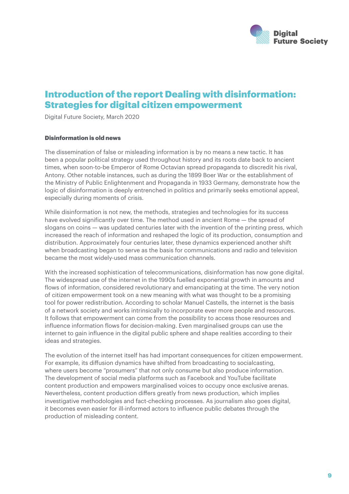

### Introduction of the report Dealing with disinformation: Strategies for digital citizen empowerment

Digital Future Society, March 2020

#### Disinformation is old news

The dissemination of false or misleading information is by no means a new tactic. It has been a popular political strategy used throughout history and its roots date back to ancient times, when soon-to-be Emperor of Rome Octavian spread propaganda to discredit his rival, Antony. Other notable instances, such as during the 1899 Boer War or the establishment of the Ministry of Public Enlightenment and Propaganda in 1933 Germany, demonstrate how the logic of disinformation is deeply entrenched in politics and primarily seeks emotional appeal, especially during moments of crisis.

While disinformation is not new, the methods, strategies and technologies for its success have evolved significantly over time. The method used in ancient Rome — the spread of slogans on coins — was updated centuries later with the invention of the printing press, which increased the reach of information and reshaped the logic of its production, consumption and distribution. Approximately four centuries later, these dynamics experienced another shift when broadcasting began to serve as the basis for communications and radio and television became the most widely-used mass communication channels.

With the increased sophistication of telecommunications, disinformation has now gone digital. The widespread use of the internet in the 1990s fuelled exponential growth in amounts and flows of information, considered revolutionary and emancipating at the time. The very notion of citizen empowerment took on a new meaning with what was thought to be a promising tool for power redistribution. According to scholar Manuel Castells, the internet is the basis of a network society and works intrinsically to incorporate ever more people and resources. It follows that empowerment can come from the possibility to access those resources and influence information flows for decision-making. Even marginalised groups can use the internet to gain influence in the digital public sphere and shape realities according to their ideas and strategies.

The evolution of the internet itself has had important consequences for citizen empowerment. For example, its diffusion dynamics have shifted from broadcasting to socialcasting, where users become "prosumers" that not only consume but also produce information. The development of social media platforms such as Facebook and YouTube facilitate content production and empowers marginalised voices to occupy once exclusive arenas. Nevertheless, content production differs greatly from news production, which implies investigative methodologies and fact-checking processes. As journalism also goes digital, it becomes even easier for ill-informed actors to influence public debates through the production of misleading content.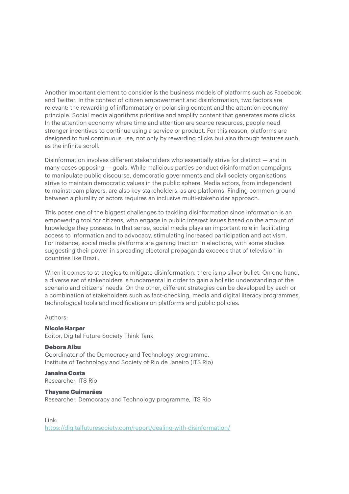Another important element to consider is the business models of platforms such as Facebook and Twitter. In the context of citizen empowerment and disinformation, two factors are relevant: the rewarding of inflammatory or polarising content and the attention economy principle. Social media algorithms prioritise and amplify content that generates more clicks. In the attention economy where time and attention are scarce resources, people need stronger incentives to continue using a service or product. For this reason, platforms are designed to fuel continuous use, not only by rewarding clicks but also through features such as the infinite scroll.

Disinformation involves different stakeholders who essentially strive for distinct — and in many cases opposing — goals. While malicious parties conduct disinformation campaigns to manipulate public discourse, democratic governments and civil society organisations strive to maintain democratic values in the public sphere. Media actors, from independent to mainstream players, are also key stakeholders, as are platforms. Finding common ground between a plurality of actors requires an inclusive multi-stakeholder approach.

This poses one of the biggest challenges to tackling disinformation since information is an empowering tool for citizens, who engage in public interest issues based on the amount of knowledge they possess. In that sense, social media plays an important role in facilitating access to information and to advocacy, stimulating increased participation and activism. For instance, social media platforms are gaining traction in elections, with some studies suggesting their power in spreading electoral propaganda exceeds that of television in countries like Brazil.

When it comes to strategies to mitigate disinformation, there is no silver bullet. On one hand, a diverse set of stakeholders is fundamental in order to gain a holistic understanding of the scenario and citizens' needs. On the other, different strategies can be developed by each or a combination of stakeholders such as fact-checking, media and digital literacy programmes, technological tools and modifications on platforms and public policies.

Authors:

#### Nicole Harper

Editor, Digital Future Society Think Tank

#### Debora Albu

Coordinator of the Democracy and Technology programme, Institute of Technology and Society of Rio de Janeiro (ITS Rio)

Janaina Costa Researcher, ITS Rio

#### Thayane Guimarães

Researcher, Democracy and Technology programme, ITS Rio

#### Link:

<https://digitalfuturesociety.com/report/dealing-with-disinformation/>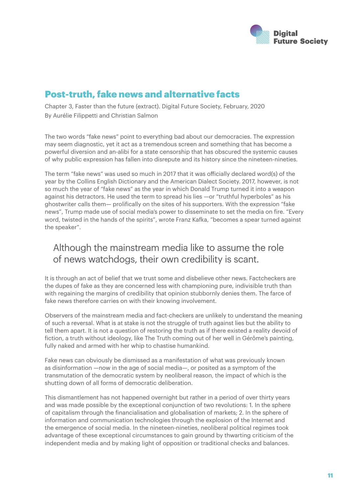

### Post-truth, fake news and alternative facts

Chapter 3, Faster than the future (extract). Digital Future Society, February, 2020 By Aurélie Filippetti and Christian Salmon

The two words "fake news" point to everything bad about our democracies. The expression may seem diagnostic, yet it act as a tremendous screen and something that has become a powerful diversion and an-alibi for a state censorship that has obscured the systemic causes of why public expression has fallen into disrepute and its history since the nineteen-nineties.

The term "fake news" was used so much in 2017 that it was officially declared word(s) of the year by the Collins English Dictionary and the American Dialect Society. 2017, however, is not so much the year of "fake news" as the year in which Donald Trump turned it into a weapon against his detractors. He used the term to spread his lies —or "truthful hyperboles" as his ghostwriter calls them— prolifically on the sites of his supporters. With the expression "fake news", Trump made use of social media's power to disseminate to set the media on fire. "Every word, twisted in the hands of the spirits", wrote Franz Kafka, "becomes a spear turned against the speaker".

### Although the mainstream media like to assume the role of news watchdogs, their own credibility is scant.

It is through an act of belief that we trust some and disbelieve other news. Factcheckers are the dupes of fake as they are concerned less with championing pure, indivisible truth than with regaining the margins of credibility that opinion stubbornly denies them. The farce of fake news therefore carries on with their knowing involvement.

Observers of the mainstream media and fact-checkers are unlikely to understand the meaning of such a reversal. What is at stake is not the struggle of truth against lies but the ability to tell them apart. It is not a question of restoring the truth as if there existed a reality devoid of fiction, a truth without ideology, like The Truth coming out of her well in Gérôme's painting, fully naked and armed with her whip to chastise humankind.

Fake news can obviously be dismissed as a manifestation of what was previously known as disinformation —now in the age of social media—, or posited as a symptom of the transmutation of the democratic system by neoliberal reason, the impact of which is the shutting down of all forms of democratic deliberation.

This dismantlement has not happened overnight but rather in a period of over thirty years and was made possible by the exceptional conjunction of two revolutions: 1. In the sphere of capitalism through the financialisation and globalisation of markets; 2. In the sphere of information and communication technologies through the explosion of the Internet and the emergence of social media. In the nineteen-nineties, neoliberal political regimes took advantage of these exceptional circumstances to gain ground by thwarting criticism of the independent media and by making light of opposition or traditional checks and balances.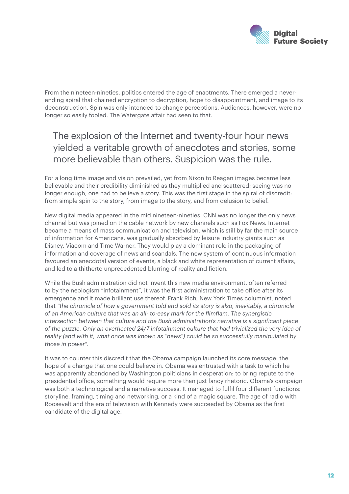

From the nineteen-nineties, politics entered the age of enactments. There emerged a neverending spiral that chained encryption to decryption, hope to disappointment, and image to its deconstruction. Spin was only intended to change perceptions. Audiences, however, were no longer so easily fooled. The Watergate affair had seen to that.

### The explosion of the Internet and twenty-four hour news yielded a veritable growth of anecdotes and stories, some more believable than others. Suspicion was the rule.

For a long time image and vision prevailed, yet from Nixon to Reagan images became less believable and their credibility diminished as they multiplied and scattered: seeing was no longer enough, one had to believe a story. This was the first stage in the spiral of discredit: from simple spin to the story, from image to the story, and from delusion to belief.

New digital media appeared in the mid nineteen-nineties. CNN was no longer the only news channel but was joined on the cable network by new channels such as Fox News. Internet became a means of mass communication and television, which is still by far the main source of information for Americans, was gradually absorbed by leisure industry giants such as Disney, Viacom and Time Warner. They would play a dominant role in the packaging of information and coverage of news and scandals. The new system of continuous information favoured an anecdotal version of events, a black and white representation of current affairs, and led to a thitherto unprecedented blurring of reality and fiction.

While the Bush administration did not invent this new media environment, often referred to by the neologism "infotainment", it was the first administration to take office after its emergence and it made brilliant use thereof. Frank Rich, New York Times columnist, noted that *"the chronicle of how a government told and sold its story is also, inevitably, a chronicle of an American culture that was an all- to-easy mark for the flimflam. The synergistic intersection between that culture and the Bush administration's narrative is a significant piece of the puzzle. Only an overheated 24/7 infotainment culture that had trivialized the very idea of reality (and with it, what once was known as "news") could be so successfully manipulated by those in power".*

It was to counter this discredit that the Obama campaign launched its core message: the hope of a change that one could believe in. Obama was entrusted with a task to which he was apparently abandoned by Washington politicians in desperation: to bring repute to the presidential office, something would require more than just fancy rhetoric. Obama's campaign was both a technological and a narrative success. It managed to fulfil four different functions: storyline, framing, timing and networking, or a kind of a magic square. The age of radio with Roosevelt and the era of television with Kennedy were succeeded by Obama as the first candidate of the digital age.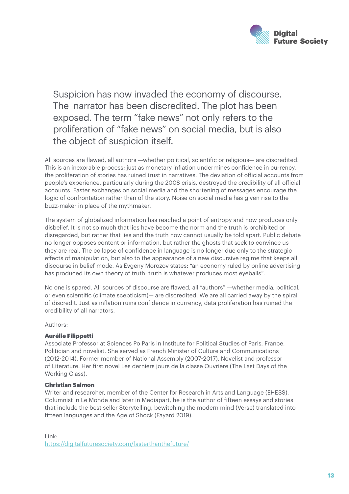

Suspicion has now invaded the economy of discourse. The narrator has been discredited. The plot has been exposed. The term "fake news" not only refers to the proliferation of "fake news" on social media, but is also the object of suspicion itself.

All sources are flawed, all authors —whether political, scientific or religious— are discredited. This is an inexorable process: just as monetary inflation undermines confidence in currency, the proliferation of stories has ruined trust in narratives. The deviation of official accounts from people's experience, particularly during the 2008 crisis, destroyed the credibility of all official accounts. Faster exchanges on social media and the shortening of messages encourage the logic of confrontation rather than of the story. Noise on social media has given rise to the buzz-maker in place of the mythmaker.

The system of globalized information has reached a point of entropy and now produces only disbelief. It is not so much that lies have become the norm and the truth is prohibited or disregarded, but rather that lies and the truth now cannot usually be told apart. Public debate no longer opposes content or information, but rather the ghosts that seek to convince us they are real. The collapse of confidence in language is no longer due only to the strategic effects of manipulation, but also to the appearance of a new discursive regime that keeps all discourse in belief mode. As Evgeny Morozov states: "an economy ruled by online advertising has produced its own theory of truth: truth is whatever produces most eveballs".

No one is spared. All sources of discourse are flawed, all "authors" —whether media, political, or even scientific (climate scepticism)— are discredited. We are all carried away by the spiral of discredit. Just as inflation ruins confidence in currency, data proliferation has ruined the credibility of all narrators.

#### Authors:

#### Aurélie Filippetti

Associate Professor at Sciences Po Paris in Institute for Political Studies of Paris, France. Politician and novelist. She served as French Minister of Culture and Communications (2012-2014). Former member of National Assembly (2007-2017). Novelist and professor of Literature. Her first novel Les derniers jours de la classe Ouvrière (The Last Days of the Working Class).

#### Christian Salmon

Writer and researcher, member of the Center for Research in Arts and Language (EHESS). Columnist in Le Monde and later in Mediapart, he is the author of fifteen essays and stories that include the best seller Storytelling, bewitching the modern mind (Verse) translated into fifteen languages and the Age of Shock (Fayard 2019).

Link: <https://digitalfuturesociety.com/fasterthanthefuture/>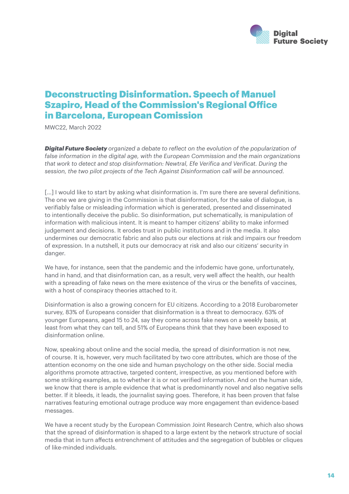

### Deconstructing Disinformation. Speech of Manuel Szapiro, Head of the Commission's Regional Office in Barcelona, European Comission

MWC22, March 2022

*Digital Future Society organized a debate to reflect on the evolution of the popularization of false information in the digital age, with the European Commission and the main organizations that work to detect and stop disinformation: Newtral, Efe Verifica and Verificat. During the session, the two pilot projects of the Tech Against Disinformation call will be announced.*

[...] I would like to start by asking what disinformation is. I'm sure there are several definitions. The one we are giving in the Commission is that disinformation, for the sake of dialogue, is verifiably false or misleading information which is generated, presented and disseminated to intentionally deceive the public. So disinformation, put schematically, is manipulation of information with malicious intent. It is meant to hamper citizens' ability to make informed judgement and decisions. It erodes trust in public institutions and in the media. It also undermines our democratic fabric and also puts our elections at risk and impairs our freedom of expression. In a nutshell, it puts our democracy at risk and also our citizens' security in danger.

We have, for instance, seen that the pandemic and the infodemic have gone, unfortunately, hand in hand, and that disinformation can, as a result, very well affect the health, our health with a spreading of fake news on the mere existence of the virus or the benefits of vaccines, with a host of conspiracy theories attached to it.

Disinformation is also a growing concern for EU citizens. According to a 2018 Eurobarometer survey, 83% of Europeans consider that disinformation is a threat to democracy. 63% of younger Europeans, aged 15 to 24, say they come across fake news on a weekly basis, at least from what they can tell, and 51% of Europeans think that they have been exposed to disinformation online.

Now, speaking about online and the social media, the spread of disinformation is not new, of course. It is, however, very much facilitated by two core attributes, which are those of the attention economy on the one side and human psychology on the other side. Social media algorithms promote attractive, targeted content, irrespective, as you mentioned before with some striking examples, as to whether it is or not verified information. And on the human side, we know that there is ample evidence that what is predominantly novel and also negative sells better. If it bleeds, it leads, the journalist saying goes. Therefore, it has been proven that false narratives featuring emotional outrage produce way more engagement than evidence-based messages.

We have a recent study by the European Commission Joint Research Centre, which also shows that the spread of disinformation is shaped to a large extent by the network structure of social media that in turn affects entrenchment of attitudes and the segregation of bubbles or cliques of like-minded individuals.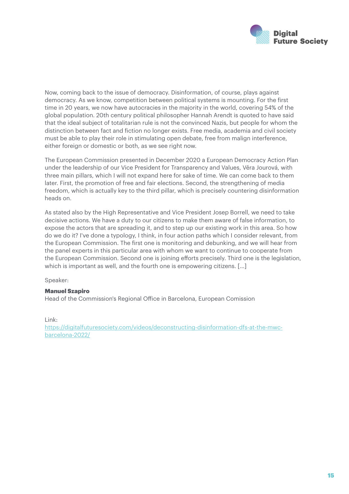

Now, coming back to the issue of democracy. Disinformation, of course, plays against democracy. As we know, competition between political systems is mounting. For the first time in 20 years, we now have autocracies in the majority in the world, covering 54% of the global population. 20th century political philosopher Hannah Arendt is quoted to have said that the ideal subject of totalitarian rule is not the convinced Nazis, but people for whom the distinction between fact and fiction no longer exists. Free media, academia and civil society must be able to play their role in stimulating open debate, free from malign interference, either foreign or domestic or both, as we see right now.

The European Commission presented in December 2020 a European Democracy Action Plan under the leadership of our Vice President for Transparency and Values, Věra Jourová, with three main pillars, which I will not expand here for sake of time. We can come back to them later. First, the promotion of free and fair elections. Second, the strengthening of media freedom, which is actually key to the third pillar, which is precisely countering disinformation heads on.

As stated also by the High Representative and Vice President Josep Borrell, we need to take decisive actions. We have a duty to our citizens to make them aware of false information, to expose the actors that are spreading it, and to step up our existing work in this area. So how do we do it? I've done a typology, I think, in four action paths which I consider relevant, from the European Commission. The first one is monitoring and debunking, and we will hear from the panel experts in this particular area with whom we want to continue to cooperate from the European Commission. Second one is joining efforts precisely. Third one is the legislation, which is important as well, and the fourth one is empowering citizens. [...]

Speaker:

#### Manuel Szapiro

Head of the Commission's Regional Office in Barcelona, European Comission

Link:

[https://digitalfuturesociety.com/videos/deconstructing-disinformation-dfs-at-the-mwc](https://digitalfuturesociety.com/videos/deconstructing-disinformation-dfs-at-the-mwc-barcelona-2022/)[barcelona-2022/](https://digitalfuturesociety.com/videos/deconstructing-disinformation-dfs-at-the-mwc-barcelona-2022/)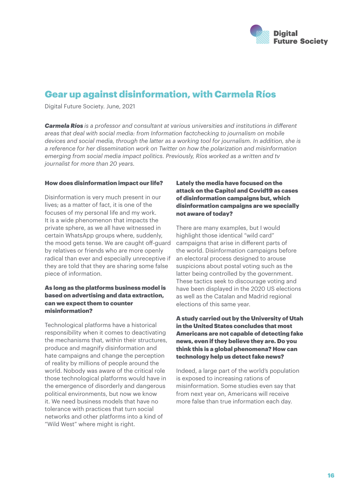

### Gear up against disinformation, with Carmela Ríos

Digital Future Society. June, 2021

*Carmela Ríos is a professor and consultant at various universities and institutions in different areas that deal with social media: from Information factchecking to journalism on mobile devices and social media, through the latter as a working tool for journalism. In addition, she is a reference for her dissemination work on Twitter on how the polarization and misinformation emerging from social media impact politics. Previously, Ríos worked as a written and tv journalist for more than 20 years.*

#### How does disinformation impact our life?

Disinformation is very much present in our lives; as a matter of fact, it is one of the focuses of my personal life and my work. It is a wide phenomenon that impacts the private sphere, as we all have witnessed in certain WhatsApp groups where, suddenly, the mood gets tense. We are caught off-guard by relatives or friends who are more openly radical than ever and especially unreceptive if they are told that they are sharing some false piece of information.

#### As long as the platforms business model is based on advertising and data extraction, can we expect them to counter misinformation?

Technological platforms have a historical responsibility when it comes to deactivating the mechanisms that, within their structures, produce and magnify disinformation and hate campaigns and change the perception of reality by millions of people around the world. Nobody was aware of the critical role those technological platforms would have in the emergence of disorderly and dangerous political environments, but now we know it. We need business models that have no tolerance with practices that turn social networks and other platforms into a kind of "Wild West" where might is right.

#### Lately the media have focused on the attack on the Capitol and Covid19 as cases of disinformation campaigns but, which disinformation campaigns are we specially not aware of today?

There are many examples, but I would highlight those identical "wild card" campaigns that arise in different parts of the world. Disinformation campaigns before an electoral process designed to arouse suspicions about postal voting such as the latter being controlled by the government. These tactics seek to discourage voting and have been displayed in the 2020 US elections as well as the Catalan and Madrid regional elections of this same year.

#### A study carried out by the University of Utah in the United States concludes that most Americans are not capable of detecting fake news, even if they believe they are. Do you think this is a global phenomena? How can technology help us detect fake news?

Indeed, a large part of the world's population is exposed to increasing rations of misinformation. Some studies even say that from next year on, Americans will receive more false than true information each day.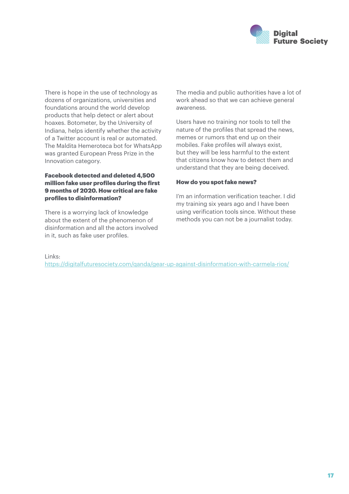

There is hope in the use of technology as dozens of organizations, universities and foundations around the world develop products that help detect or alert about hoaxes. Botometer, by the University of Indiana, helps identify whether the activity of a Twitter account is real or automated. The Maldita Hemeroteca bot for WhatsApp was granted European Press Prize in the Innovation category.

#### Facebook detected and deleted 4,500 million fake user profiles during the first 9 months of 2020. How critical are fake profiles to disinformation?

There is a worrying lack of knowledge about the extent of the phenomenon of disinformation and all the actors involved in it, such as fake user profiles.

The media and public authorities have a lot of work ahead so that we can achieve general awareness.

Users have no training nor tools to tell the nature of the profiles that spread the news, memes or rumors that end up on their mobiles. Fake profiles will always exist, but they will be less harmful to the extent that citizens know how to detect them and understand that they are being deceived.

#### How do you spot fake news?

I'm an information verification teacher. I did my training six years ago and I have been using verification tools since. Without these methods you can not be a journalist today.

#### Links:

<https://digitalfuturesociety.com/qanda/gear-up-against-disinformation-with-carmela-rios/>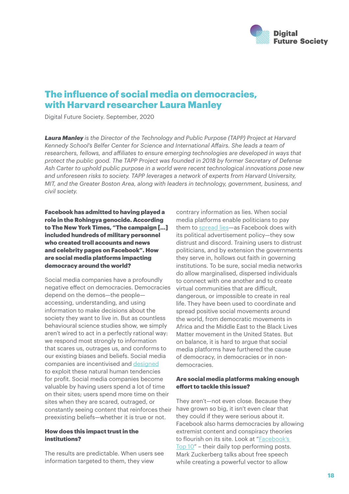

### The influence of social media on democracies, with Harvard researcher Laura Manley

Digital Future Society. September, 2020

*Laura Manley is the Director of the Technology and Public Purpose (TAPP) Project at Harvard Kennedy School's Belfer Center for Science and International Affairs. She leads a team of researchers, fellows, and affiliates to ensure emerging technologies are developed in ways that protect the public good. The TAPP Project was founded in 2018 by former Secretary of Defense Ash Carter to uphold public purpose in a world were recent technological innovations pose new and unforeseen risks to society. TAPP leverages a network of experts from Harvard University, MIT, and the Greater Boston Area, along with leaders in technology, government, business, and civil society.*

Facebook has admitted to having played a role in the Rohingya genocide. According to The New York Times, "The campaign […] included hundreds of military personnel who created troll accounts and news and celebrity pages on Facebook". How are social media platforms impacting democracy around the world?

Social media companies have a profoundly negative effect on democracies. Democracies depend on the demos—the people accessing, understanding, and using information to make decisions about the society they want to live in. But as countless behavioural science studies show, we simply aren't wired to act in a perfectly rational way: we respond most strongly to information that scares us, outrages us, and conforms to our existing biases and beliefs. Social media companies are incentivised and [designed](https://science.sciencemag.org/content/359/6380/1146) to exploit these natural human tendencies for profit. Social media companies become valuable by having users spend a lot of time on their sites; users spend more time on their sites when they are scared, outraged, or constantly seeing content that reinforces their preexisting beliefs—whether it is true or not.

#### How does this impact trust in the institutions?

The results are predictable. When users see information targeted to them, they view

contrary information as lies. When social media platforms enable politicians to pay them to [spread lies](https://www.theatlantic.com/technology/archive/2018/03/largest-study-ever-fake-news-mit-twitter/555104/)—as Facebook does with its political advertisement policy—they sow distrust and discord. Training users to distrust politicians, and by extension the governments they serve in, hollows out faith in governing institutions. To be sure, social media networks do allow marginalised, dispersed individuals to connect with one another and to create virtual communities that are difficult, dangerous, or impossible to create in real life. They have been used to coordinate and spread positive social movements around the world, from democratic movements in Africa and the Middle East to the Black Lives Matter movement in the United States. But on balance, it is hard to argue that social media platforms have furthered the cause of democracy, in democracies or in nondemocracies.

#### Are social media platforms making enough effort to tackle this issue?

They aren't—not even close. Because they have grown so big, it isn't even clear that they could if they were serious about it. Facebook also harms democracies by allowing extremist content and conspiracy theories to flourish on its site. Look at "[Facebook's](https://twitter.com/FacebooksTop10)  [Top 10](https://twitter.com/FacebooksTop10)" – their daily top performing posts. Mark Zuckerberg talks about free speech while creating a powerful vector to allow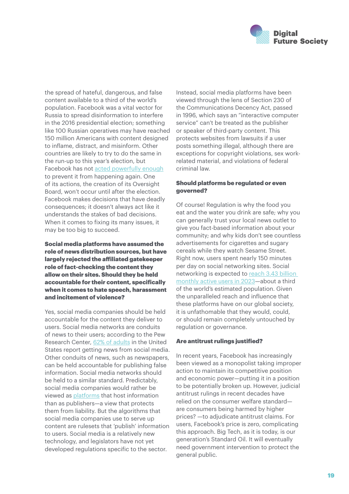

the spread of hateful, dangerous, and false content available to a third of the world's population. Facebook was a vital vector for Russia to spread disinformation to interfere in the 2016 presidential election; something like 100 Russian operatives may have reached 150 million Americans with content designed to inflame, distract, and misinform. Other countries are likely to try to do the same in the run-up to this year's election, but Facebook has not [acted powerfully enough](https://about.fb.com/news/2019/10/update-on-election-integrity-efforts/) to prevent it from happening again. One of its actions, the creation of its Oversight Board, won't occur until after the election. Facebook makes decisions that have deadly consequences; it doesn't always act like it understands the stakes of bad decisions. When it comes to fixing its many issues, it may be too big to succeed.

Social media platforms have assumed the role of news distribution sources, but have largely rejected the affiliated gatekeeper role of fact-checking the content they allow on their sites. Should they be held accountable for their content, specifically when it comes to hate speech, harassment and incitement of violence?

Yes, social media companies should be held accountable for the content they deliver to users. Social media networks are conduits of news to their users; according to the Pew Research Center, [62% of adults](http://www.cnn.com/2010/TECH/03/01/social.network.news/index.html) in the United States report getting news from social media. Other conduits of news, such as newspapers, can be held accountable for publishing false information. Social media networks should be held to a similar standard. Predictably, social media companies would rather be viewed as [platforms](https://www.reuters.com/article/us-germany-security-facebook/treat-us-like-something-between-a-telco-and-a-newspaper-says-facebooks-zuckerberg-idUSKBN2090MA) that host information than as publishers—a view that protects them from liability. But the algorithms that social media companies use to serve up content are rulesets that 'publish' information to users. Social media is a relatively new technology, and legislators have not yet developed regulations specific to the sector.

Instead, social media platforms have been viewed through the lens of Section 230 of the Communications Decency Act, passed in 1996, which says an "interactive computer service" can't be treated as the publisher or speaker of third-party content. This protects websites from lawsuits if a user posts something illegal, although there are exceptions for copyright violations, sex workrelated material, and violations of federal criminal law.

#### Should platforms be regulated or even governed?

Of course! Regulation is why the food you eat and the water you drink are safe; why you can generally trust your local news outlet to give you fact-based information about your community; and why kids don't see countless advertisements for cigarettes and sugary cereals while they watch Sesame Street. Right now, users spent nearly 150 minutes per day on social networking sites. Social networking is expected to [reach 3.43 billion](https://www.statista.com/topics/1164/social-networks/#:~:text=The%20power%20of%20social%20networking,third%20of%20Earth)  [monthly active users in 2023](https://www.statista.com/topics/1164/social-networks/#:~:text=The%20power%20of%20social%20networking,third%20of%20Earth)—about a third of the world's estimated population. Given the unparalleled reach and influence that these platforms have on our global society, it is unfathomable that they would, could, or should remain completely untouched by regulation or governance.

#### Are antitrust rulings justified?

In recent years, Facebook has increasingly been viewed as a monopolist taking improper action to maintain its competitive position and economic power—putting it in a position to be potentially broken up. However, judicial antitrust rulings in recent decades have relied on the consumer welfare standard are consumers being harmed by higher prices? —to adjudicate antitrust claims. For users, Facebook's price is zero, complicating this approach. Big Tech, as it is today, is our generation's Standard Oil. It will eventually need government intervention to protect the general public.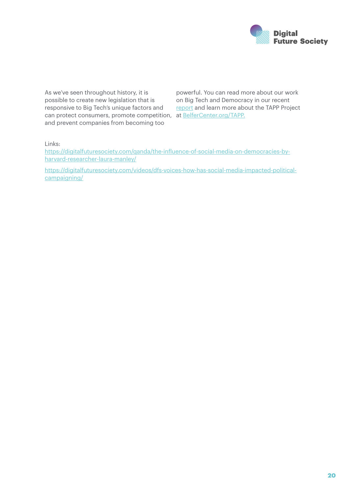

As we've seen throughout history, it is possible to create new legislation that is responsive to Big Tech's unique factors and can protect consumers, promote competition, at **BelferCenter.org/TAPP**. and prevent companies from becoming too

powerful. You can read more about our work on Big Tech and Democracy in our recent [report](https://www.belfercenter.org/publication/big-tech-and-democracy-critical-role-congress) and learn more about the TAPP Project

Links:

[https://digitalfuturesociety.com/qanda/the-influence-of-social-media-on-democracies-by](https://digitalfuturesociety.com/qanda/the-influence-of-social-media-on-democracies-by-harvard-researcher-laura-manley/)[harvard-researcher-laura-manley/](https://digitalfuturesociety.com/qanda/the-influence-of-social-media-on-democracies-by-harvard-researcher-laura-manley/)

[https://digitalfuturesociety.com/videos/dfs-voices-how-has-social-media-impacted-political](https://digitalfuturesociety.com/videos/dfs-voices-how-has-social-media-impacted-political-campaigning/)[campaigning/](https://digitalfuturesociety.com/videos/dfs-voices-how-has-social-media-impacted-political-campaigning/)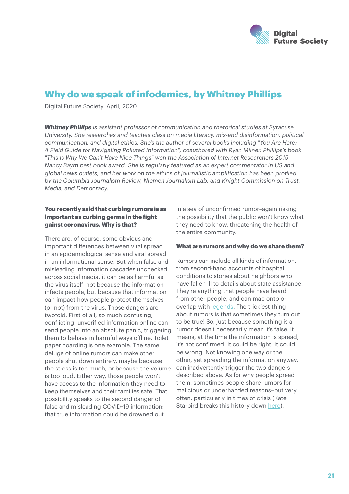

### Why do we speak of infodemics, by Whitney Phillips

Digital Future Society. April, 2020

*Whitney Phillips is assistant professor of communication and rhetorical studies at Syracuse University. She researches and teaches class on media literacy, mis-and disinformation, political communication, and digital ethics. She's the author of several books including "You Are Here: A Field Guide for Navigating Polluted Information", coauthored with Ryan Milner. Phillips's book "This Is Why We Can't Have Nice Things" won the Association of Internet Researchers 2015 Nancy Baym best book award. She is regularly featured as an expert commentator in US and global news outlets, and her work on the ethics of journalistic amplification has been profiled by the Columbia Journalism Review, Niemen Journalism Lab, and Knight Commission on Trust, Media, and Democracy.* 

#### You recently said that curbing rumors is as important as curbing germs in the fight gainst coronavirus. Why is that?

There are, of course, some obvious and important differences between viral spread in an epidemiological sense and viral spread in an informational sense. But when false and misleading information cascades unchecked across social media, it can be as harmful as the virus itself–not because the information infects people, but because that information can impact how people protect themselves (or not) from the virus. Those dangers are twofold. First of all, so much confusing, conflicting, unverified information online can send people into an absolute panic, triggering them to behave in harmful ways offline. Toilet paper hoarding is one example. The same deluge of online rumors can make other people shut down entirely, maybe because the stress is too much, or because the volume is too loud. Either way, those people won't have access to the information they need to keep themselves and their families safe. That possibility speaks to the second danger of false and misleading COVID-19 information: that true information could be drowned out

in a sea of unconfirmed rumor–again risking the possibility that the public won't know what they need to know, threatening the health of the entire community.

#### What are rumors and why do we share them?

Rumors can include all kinds of information, from second-hand accounts of hospital conditions to stories about neighbors who have fallen ill to details about state assistance. They're anything that people have heard from other people, and can map onto or overlap with [legends.](https://www.jstor.org/stable/3814160?seq=1#metadata_info_tab_contents) The trickiest thing about rumors is that sometimes they turn out to be true! So, just because something is a rumor doesn't necessarily mean it's false. It means, at the time the information is spread, it's not confirmed. It could be right. It could be wrong. Not knowing one way or the other, yet spreading the information anyway, can inadvertently trigger the two dangers described above. As for why people spread them, sometimes people share rumors for malicious or underhanded reasons–but very often, particularly in times of crisis (Kate Starbird breaks this history down [here](https://onezero.medium.com/reflecting-on-the-covid-19-infodemic-as-a-crisis-informatics-researcher-ce0656fa4d0a)),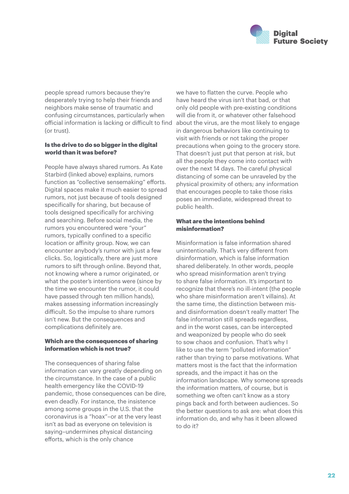

people spread rumors because they're desperately trying to help their friends and neighbors make sense of traumatic and confusing circumstances, particularly when official information is lacking or difficult to find (or trust).

#### Is the drive to do so bigger in the digital world than it was before?

People have always shared rumors. As Kate Starbird (linked above) explains, rumors function as "collective sensemaking" efforts. Digital spaces make it much easier to spread rumors, not just because of tools designed specifically for sharing, but because of tools designed specifically for archiving and searching. Before social media, the rumors you encountered were "your" rumors, typically confined to a specific location or affinity group. Now, we can encounter anybody's rumor with just a few clicks. So, logistically, there are just more rumors to sift through online. Beyond that, not knowing where a rumor originated, or what the poster's intentions were (since by the time we encounter the rumor, it could have passed through ten million hands), makes assessing information increasingly difficult. So the impulse to share rumors isn't new. But the consequences and complications definitely are.

#### Which are the consequences of sharing information which is not true?

The consequences of sharing false information can vary greatly depending on the circumstance. In the case of a public health emergency like the COVID-19 pandemic, those consequences can be dire, even deadly. For instance, the insistence among some groups in the U.S. that the coronavirus is a "hoax"–or at the very least isn't as bad as everyone on television is saying–undermines physical distancing efforts, which is the only chance

we have to flatten the curve. People who have heard the virus isn't that bad, or that only old people with pre-existing conditions will die from it, or whatever other falsehood about the virus, are the most likely to engage in dangerous behaviors like continuing to visit with friends or not taking the proper precautions when going to the grocery store. That doesn't just put that person at risk, but all the people they come into contact with over the next 14 days. The careful physical distancing of some can be unraveled by the physical proximity of others; any information that encourages people to take those risks poses an immediate, widespread threat to public health.

#### What are the intentions behind misinformation?

Misinformation is false information shared unintentionally. That's very different from disinformation, which is false information shared deliberately. In other words, people who spread misinformation aren't trying to share false information. It's important to recognize that there's no ill-intent (the people who share misinformation aren't villains). At the same time, the distinction between misand disinformation doesn't really matter! The false information still spreads regardless, and in the worst cases, can be intercepted and weaponized by people who do seek to sow chaos and confusion. That's why I like to use the term "polluted information" rather than trying to parse motivations. What matters most is the fact that the information spreads, and the impact it has on the information landscape. Why someone spreads the information matters, of course, but is something we often can't know as a story pings back and forth between audiences. So the better questions to ask are: what does this information do, and why has it been allowed to do it?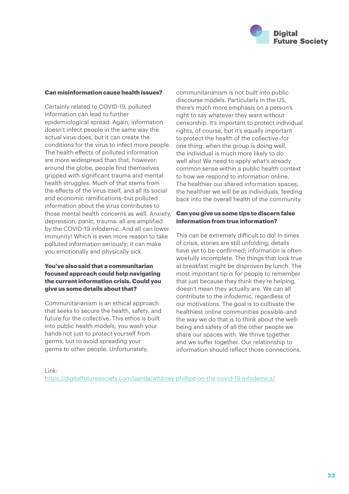

#### Can misinformation cause health issues?

Certainly related to COVID-19, polluted information can lead to further epidemiological spread. Again, information doesn't infect people in the same way the actual virus does, but it can create the conditions for the virus to infect more people. The health effects of polluted information are more widespread than that, however; around the globe, people find themselves gripped with significant trauma and mental health struggles. Much of that stems from the effects of the virus itself, and all its social and economic ramifications–but polluted information about the virus contributes to those mental health concerns as well. Anxiety, depression, panic, trauma: all are amplified by the COVID-19 infodemic. And all can lower immunity! Which is even more reason to take polluted information seriously; it can make you emotionally and physically sick.

#### You've also said that a communitarian focused approach could help navigating the current information crisis. Could you give us some details about that?

Communitarianism is an ethical approach that seeks to secure the health, safety, and future for the collective. This ethos is built into public health models; you wash your hands not just to protect yourself from germs, but to avoid spreading your germs to other people. Unfortunately,

communitarianism is not built into public discourse models. Particularly in the US, there's much more emphasis on a person's right to say whatever they want without censorship. It's important to protect individual rights, of course, but it's equally important to protect the health of the collective–for one thing, when the group is doing well, the individual is much more likely to do well also! We need to apply what's already common sense within a public health context to how we respond to information online. The healthier our shared information spaces, the healthier we will be as individuals, feeding back into the overall health of the community.

#### Can you give us some tips to discern false information from true information?

This can be extremely difficult to do! In times of crisis, stories are still unfolding; details have yet to be confirmed; information is often woefully incomplete. The things that look true at breakfast might be disproven by lunch. The most important tip is for people to remember that just because they think they're helping, doesn't mean they actually are. We can all contribute to the infodemic, regardless of our motivations. The goal is to cultivate the healthiest online communities possible–and the way we do that is to think about the wellbeing and safety of all the other people we share our spaces with. We thrive together and we suffer together. Our relationship to information should reflect those connections.

Link: <https://digitalfuturesociety.com/qanda/whitney-phillips-on-the-covid-19-infodemics/>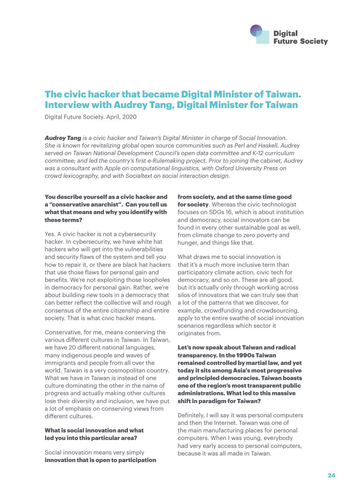

### The civic hacker that became Digital Minister of Taiwan. Interview with Audrey Tang, Digital Minister for Taiwan

Digital Future Society. April, 2020

*Audrey Tang is a civic hacker and Taiwan's Digital Minister in charge of Social Innovation. She is known for revitalizing global open source communities such as Perl and Haskell. Audrey served on Taiwan National Development Council's open data committee and K-12 curriculum committee; and led the country's first e-Rulemaking project. Prior to joining the cabinet, Audrey was a consultant with Apple on computational linguistics, with Oxford University Press on crowd lexicography, and with Socialtext on social interaction design.*

#### You describe yourself as a civic hacker and a "conservative anarchist". Can you tell us what that means and why you identify with these terms?

Yes. A civic hacker is not a cybersecurity hacker. In cybersecurity, we have white hat hackers who will get into the vulnerabilities and security flaws of the system and tell you how to repair it, or there are black hat hackers that use those flaws for personal gain and benefits. We're not exploiting those loopholes in democracy for personal gain. Rather, we're about building new tools in a democracy that can better reflect the collective will and rough consensus of the entire citizenship and entire society. That is what civic hacker means.

Conservative, for me, means conserving the various different cultures in Taiwan. In Taiwan, we have 20 different national languages, many indigenous people and waves of immigrants and people from all over the world. Taiwan is a very cosmopolitan country. What we have in Taiwan is instead of one culture dominating the other in the name of progress and actually making other cultures lose their diversity and inclusion, we have put a lot of emphasis on conserving views from different cultures.

#### What is social innovation and what led you into this particular area?

Social innovation means very simply innovation that is open to participation

#### from society, and at the same time good

for society. Whereas the civic technologist focuses on SDGs 16, which is about institution and democracy, social innovators can be found in every other sustainable goal as well, from climate change to zero poverty and hunger, and things like that.

What draws me to social innovation is that it's a much more inclusive term than participatory climate action, civic tech for democracy, and so on. These are all good, but it's actually only through working across silos of innovators that we can truly see that a lot of the patterns that we discover, for example, crowdfunding and crowdsourcing, apply to the entire swathe of social innovation scenarios regardless which sector it originates from.

Let's now speak about Taiwan and radical transparency. In the 1990s Taiwan remained controlled by martial law, and yet today it sits among Asia's most progressive and principled democracies. Taiwan boasts one of the region's most transparent public administrations. What led to this massive shift in paradigm for Taiwan?

Definitely, I will say it was personal computers and then the Internet. Taiwan was one of the main manufacturing places for personal computers. When I was young, everybody had very early access to personal computers, because it was all made in Taiwan.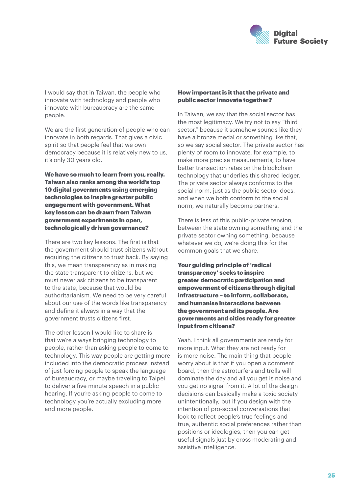

I would say that in Taiwan, the people who innovate with technology and people who innovate with bureaucracy are the same people.

We are the first generation of people who can innovate in both regards. That gives a civic spirit so that people feel that we own democracy because it is relatively new to us, it's only 30 years old.

We have so much to learn from you, really. Taiwan also ranks among the world's top 10 digital governments using emerging technologies to inspire greater public engagement with government. What key lesson can be drawn from Taiwan government experiments in open, technologically driven governance?

There are two key lessons. The first is that the government should trust citizens without requiring the citizens to trust back. By saying this, we mean transparency as in making the state transparent to citizens, but we must never ask citizens to be transparent to the state, because that would be authoritarianism. We need to be very careful about our use of the words like transparency and define it always in a way that the government trusts citizens first.

The other lesson I would like to share is that we're always bringing technology to people, rather than asking people to come to technology. This way people are getting more included into the democratic process instead of just forcing people to speak the language of bureaucracy, or maybe traveling to Taipei to deliver a five minute speech in a public hearing. If you're asking people to come to technology you're actually excluding more and more people.

#### How important is it that the private and public sector innovate together?

In Taiwan, we say that the social sector has the most legitimacy. We try not to say "third sector," because it somehow sounds like they have a bronze medal or something like that, so we say social sector. The private sector has plenty of room to innovate, for example, to make more precise measurements, to have better transaction rates on the blockchain technology that underlies this shared ledger. The private sector always conforms to the social norm, just as the public sector does, and when we both conform to the social norm, we naturally become partners.

There is less of this public-private tension, between the state owning something and the private sector owning something, because whatever we do, we're doing this for the common goals that we share.

Your guiding principle of 'radical transparency' seeks to inspire greater democratic participation and empowerment of citizens through digital infrastructure – to inform, collaborate, and humanise interactions between the government and its people. Are governments and cities ready for greater input from citizens?

Yeah. I think all governments are ready for more input. What they are not ready for is more noise. The main thing that people worry about is that if you open a comment board, then the astroturfers and trolls will dominate the day and all you get is noise and you get no signal from it. A lot of the design decisions can basically make a toxic society unintentionally, but if you design with the intention of pro-social conversations that look to reflect people's true feelings and true, authentic social preferences rather than positions or ideologies, then you can get useful signals just by cross moderating and assistive intelligence.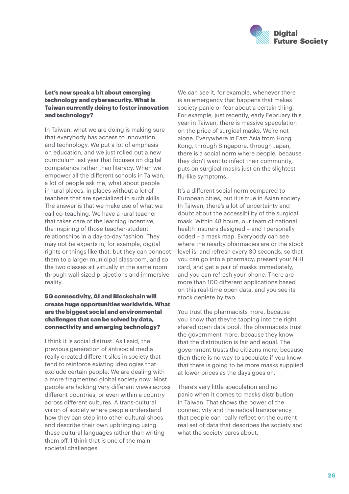

#### Let's now speak a bit about emerging technology and cybersecurity. What is Taiwan currently doing to foster innovation and technology?

In Taiwan, what we are doing is making sure that everybody has access to innovation and technology. We put a lot of emphasis on education, and we just rolled out a new curriculum last year that focuses on digital competence rather than literacy. When we empower all the different schools in Taiwan, a lot of people ask me, what about people in rural places, in places without a lot of teachers that are specialized in such skills. The answer is that we make use of what we call co-teaching. We have a rural teacher that takes care of the learning incentive, the inspiring of those teacher-student relationships in a day-to-day fashion. They may not be experts in, for example, digital rights or things like that, but they can connect them to a larger municipal classroom, and so the two classes sit virtually in the same room through wall-sized projections and immersive reality.

#### 5G connectivity, AI and Blockchain will create huge opportunities worldwide. What are the biggest social and environmental challenges that can be solved by data, connectivity and emerging technology?

I think it is social distrust. As I said, the previous generation of antisocial media really created different silos in society that tend to reinforce existing ideologies that exclude certain people. We are dealing with a more fragmented global society now. Most people are holding very different views across different countries, or even within a country across different cultures. A trans-cultural vision of society where people understand how they can step into other cultural shoes and describe their own upbringing using these cultural languages rather than writing them off, I think that is one of the main societal challenges.

We can see it, for example, whenever there is an emergency that happens that makes society panic or fear about a certain thing. For example, just recently, early February this year in Taiwan, there is massive speculation on the price of surgical masks. We're not alone. Everywhere in East Asia from Hong Kong, through Singapore, through Japan, there is a social norm where people, because they don't want to infect their community, puts on surgical masks just on the slightest flu-like symptoms.

It's a different social norm compared to European cities, but it is true in Asian society. In Taiwan, there's a lot of uncertainty and doubt about the accessibility of the surgical mask. Within 48 hours, our team of national health insurers designed - and I personally coded – a mask map. Everybody can see where the nearby pharmacies are or the stock level is, and refresh every 30 seconds, so that you can go into a pharmacy, present your NHI card, and get a pair of masks immediately, and you can refresh your phone. There are more than 100 different applications based on this real-time open data, and you see its stock deplete by two.

You trust the pharmacists more, because you know that they're tapping into the right shared open data pool. The pharmacists trust the government more, because they know that the distribution is fair and equal. The government trusts the citizens more, because then there is no way to speculate if you know that there is going to be more masks supplied at lower prices as the days goes on.

There's very little speculation and no panic when it comes to masks distribution in Taiwan. That shows the power of the connectivity and the radical transparency that people can really reflect on the current real set of data that describes the society and what the society cares about.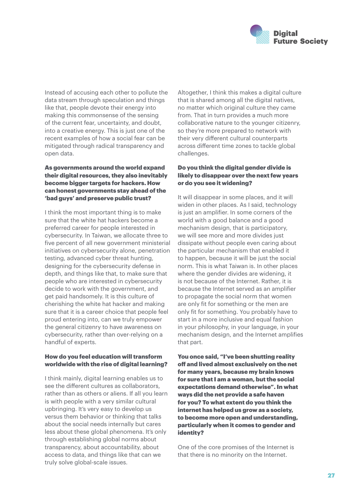

Instead of accusing each other to pollute the data stream through speculation and things like that, people devote their energy into making this commonsense of the sensing of the current fear, uncertainty, and doubt, into a creative energy. This is just one of the recent examples of how a social fear can be mitigated through radical transparency and open data.

#### As governments around the world expand their digital resources, they also inevitably become bigger targets for hackers. How can honest governments stay ahead of the 'bad guys' and preserve public trust?

I think the most important thing is to make sure that the white hat hackers become a preferred career for people interested in cybersecurity. In Taiwan, we allocate three to five percent of all new government ministerial initiatives on cybersecurity alone, penetration testing, advanced cyber threat hunting, designing for the cybersecurity defense in depth, and things like that, to make sure that people who are interested in cybersecurity decide to work with the government, and get paid handsomely. It is this culture of cherishing the white hat hacker and making sure that it is a career choice that people feel proud entering into, can we truly empower the general citizenry to have awareness on cybersecurity, rather than over-relying on a handful of experts.

#### How do you feel education will transform worldwide with the rise of digital learning?

I think mainly, digital learning enables us to see the different cultures as collaborators, rather than as others or aliens. If all you learn is with people with a very similar cultural upbringing. It's very easy to develop us versus them behavior or thinking that talks about the social needs internally but cares less about these global phenomena. It's only through establishing global norms about transparency, about accountability, about access to data, and things like that can we truly solve global-scale issues.

Altogether, I think this makes a digital culture that is shared among all the digital natives, no matter which original culture they came from. That in turn provides a much more collaborative nature to the younger citizenry, so they're more prepared to network with their very different cultural counterparts across different time zones to tackle global challenges.

#### Do you think the digital gender divide is likely to disappear over the next few years or do you see it widening?

It will disappear in some places, and it will widen in other places. As I said, technology is just an amplifier. In some corners of the world with a good balance and a good mechanism design, that is participatory, we will see more and more divides just dissipate without people even caring about the particular mechanism that enabled it to happen, because it will be just the social norm. This is what Taiwan is. In other places where the gender divides are widening, it is not because of the Internet. Rather, it is because the Internet served as an amplifier to propagate the social norm that women are only fit for something or the men are only fit for something. You probably have to start in a more inclusive and equal fashion in your philosophy, in your language, in your mechanism design, and the Internet amplifies that part.

You once said, "I've been shutting reality off and lived almost exclusively on the net for many years, because my brain knows for sure that I am a woman, but the social expectations demand otherwise". In what ways did the net provide a safe haven for you? To what extent do you think the internet has helped us grow as a society. to become more open and understanding, particularly when it comes to gender and identity?

One of the core promises of the Internet is that there is no minority on the Internet.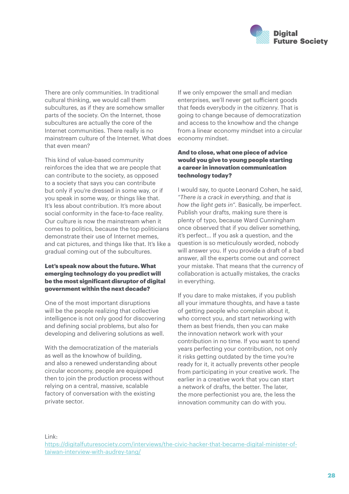

There are only communities. In traditional cultural thinking, we would call them subcultures, as if they are somehow smaller parts of the society. On the Internet, those subcultures are actually the core of the Internet communities. There really is no mainstream culture of the Internet. What does that even mean?

This kind of value-based community reinforces the idea that we are people that can contribute to the society, as opposed to a society that says you can contribute but only if you're dressed in some way, or if you speak in some way, or things like that. It's less about contribution. It's more about social conformity in the face-to-face reality. Our culture is now the mainstream when it comes to politics, because the top politicians demonstrate their use of Internet memes, and cat pictures, and things like that. It's like a gradual coming out of the subcultures.

#### Let's speak now about the future. What emerging technology do you predict will be the most significant disruptor of digital government within the next decade?

One of the most important disruptions will be the people realizing that collective intelligence is not only good for discovering and defining social problems, but also for developing and delivering solutions as well.

With the democratization of the materials as well as the knowhow of building, and also a renewed understanding about circular economy, people are equipped then to join the production process without relying on a central, massive, scalable factory of conversation with the existing private sector.

If we only empower the small and median enterprises, we'll never get sufficient goods that feeds everybody in the citizenry. That is going to change because of democratization and access to the knowhow and the change from a linear economy mindset into a circular economy mindset.

#### And to close, what one piece of advice would you give to young people starting a career in innovation communication technology today?

I would say, to quote Leonard Cohen, he said, *"There is a crack in everything, and that is how the light gets in".* Basically, be imperfect. Publish your drafts, making sure there is plenty of typo, because Ward Cunningham once observed that if you deliver something, it's perfect… If you ask a question, and the question is so meticulously worded, nobody will answer you. If you provide a draft of a bad answer, all the experts come out and correct your mistake. That means that the currency of collaboration is actually mistakes, the cracks in everything.

If you dare to make mistakes, if you publish all your immature thoughts, and have a taste of getting people who complain about it, who correct you, and start networking with them as best friends, then you can make the innovation network work with your contribution in no time. If you want to spend years perfecting your contribution, not only it risks getting outdated by the time you're ready for it, it actually prevents other people from participating in your creative work. The earlier in a creative work that you can start a network of drafts, the better. The later, the more perfectionist you are, the less the innovation community can do with you.

Link:

[https://digitalfuturesociety.com/interviews/the-civic-hacker-that-became-digital-minister-of](https://digitalfuturesociety.com/interviews/the-civic-hacker-that-became-digital-minister-of-taiwan-interview-with-audrey-tang/)[taiwan-interview-with-audrey-tang/](https://digitalfuturesociety.com/interviews/the-civic-hacker-that-became-digital-minister-of-taiwan-interview-with-audrey-tang/)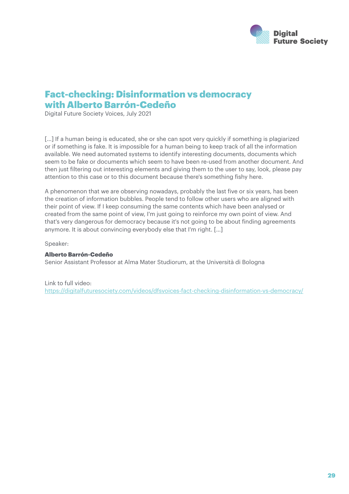

### Fact-checking: Disinformation vs democracy with Alberto Barrón-Cedeño

Digital Future Society Voices, July 2021

[...] If a human being is educated, she or she can spot very quickly if something is plagiarized or if something is fake. It is impossible for a human being to keep track of all the information available. We need automated systems to identify interesting documents, documents which seem to be fake or documents which seem to have been re-used from another document. And then just filtering out interesting elements and giving them to the user to say, look, please pay attention to this case or to this document because there's something fishy here.

A phenomenon that we are observing nowadays, probably the last five or six years, has been the creation of information bubbles. People tend to follow other users who are aligned with their point of view. If I keep consuming the same contents which have been analysed or created from the same point of view, I'm just going to reinforce my own point of view. And that's very dangerous for democracy because it's not going to be about finding agreements anymore. It is about convincing everybody else that I'm right. […]

Speaker:

#### Alberto Barrón-Cedeño

Senior Assistant Professor at Alma Mater Studiorum, at the Università di Bologna

Link to full video: <https://digitalfuturesociety.com/videos/dfsvoices-fact-checking-disinformation-vs-democracy/>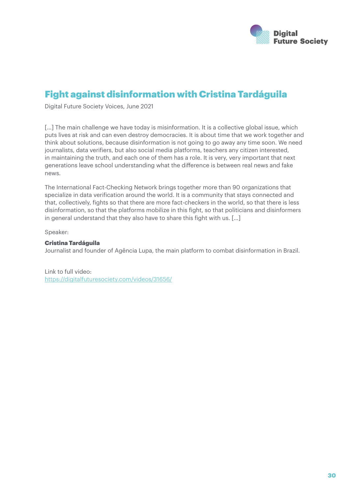

### Fight against disinformation with Cristina Tardáguila

Digital Future Society Voices, June 2021

[...] The main challenge we have today is misinformation. It is a collective global issue, which puts lives at risk and can even destroy democracies. It is about time that we work together and think about solutions, because disinformation is not going to go away any time soon. We need journalists, data verifiers, but also social media platforms, teachers any citizen interested, in maintaining the truth, and each one of them has a role. It is very, very important that next generations leave school understanding what the difference is between real news and fake news.

The International Fact-Checking Network brings together more than 90 organizations that specialize in data verification around the world. It is a community that stays connected and that, collectively, fights so that there are more fact-checkers in the world, so that there is less disinformation, so that the platforms mobilize in this fight, so that politicians and disinformers in general understand that they also have to share this fight with us. […]

Speaker:

#### Cristina Tardáguila

Journalist and founder of Agência Lupa, the main platform to combat disinformation in Brazil.

Link to full video: <https://digitalfuturesociety.com/videos/31656/>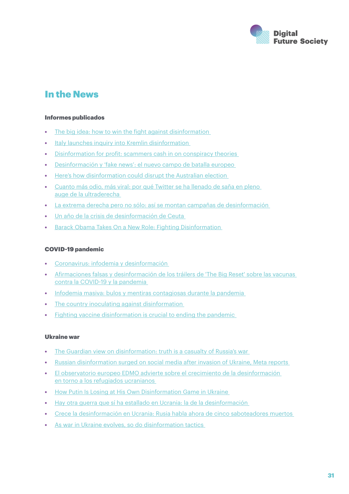

### In the News

#### Informes publicados

- [The big idea: how to win the fight against disinformation](https://www.theguardian.com/books/2022/apr/04/the-big-idea-how-to-win-the-fight-against-disinformation)
- [Italy launches inquiry into Kremlin disinformation](https://www.theguardian.com/world/2022/may/09/italy-launches-inquiry-into-kremlin-disinformation)
- [Disinformation for profit: scammers cash in on conspiracy theories](https://www.theguardian.com/media/2022/feb/20/facebook-disinformation-ottawa-social-media)
- [Desinformación y 'fake news': el nuevo campo de batalla europeo](https://ethic.es/2019/09/desinformacion-y-fake-news-el-nuevo-campo-de-batalla-europeo/)
- [Here's how disinformation could disrupt the Australian election](https://theconversation.com/heres-how-disinformation-could-disrupt-the-australian-election-177629)
- [Cuanto más odio, más viral: por qué Twitter se ha llenado de saña en pleno](https://elpais.com/icon/actualidad/2021-11-26/cuanto-mas-odio-mas-viral-por-que-twitter-se-ha-llenado-de-sana-en-pleno-auge-de-la-ultraderecha.html)  [auge de la ultraderecha](https://elpais.com/icon/actualidad/2021-11-26/cuanto-mas-odio-mas-viral-por-que-twitter-se-ha-llenado-de-sana-en-pleno-auge-de-la-ultraderecha.html)
- [La extrema derecha pero no sólo: así se montan campañas de desinformación](https://www.elnacional.cat/es/politica/extrema-derecha-psoe-bulos-desinformacion-garzon-tv3_695604_102.html)
- [Un año de la crisis de desinformación de Ceuta](https://maldita.es/malditateexplica/20220518/crisis-desinformacion-ceuta-migracion/)
- [Barack Obama Takes On a New Role: Fighting Disinformation](https://www.nytimes.com/2022/04/20/technology/barack-obama-disinformation.html)

#### COVID-19 pandemic

- [Coronavirus: infodemia y desinformación](https://ethic.es/2020/05/coronavirus-infodemia-y-desinformacion/)
- [Afirmaciones falsas y desinformación de los tráilers de 'The Big Reset' sobre las vacunas](https://maldita.es/malditobulo/20220515/trailers-the-big-reset-vacunas-pandemia/)  [contra la COVID-19 y la pandemia](https://maldita.es/malditobulo/20220515/trailers-the-big-reset-vacunas-pandemia/)
- [Infodemia masiva: bulos y mentiras contagiosas durante la pandemia](https://theconversation.com/infodemia-masiva-bulos-y-mentiras-contagiosas-durante-la-pandemia-182243)
- The country inoculating against disinformation
- [Fighting vaccine disinformation is crucial to ending the pandemic](https://edition.cnn.com/2021/09/01/perspectives/vaccine-disinformation-social-media/index.html)

#### Ukraine war

- [The Guardian view on disinformation: truth is a casualty of Russia's war](https://www.theguardian.com/commentisfree/2022/mar/22/the-guardian-view-on-disinformation-truth-is-a-casualty-of-russias-war)
- [Russian disinformation surged on social media after invasion of Ukraine, Meta reports](https://www.theguardian.com/world/2022/apr/07/propaganda-social-media-surge-invasion-ukraine-meta-reports)
- [El observatorio europeo EDMO advierte sobre el crecimiento de la desinformación](https://www.newtral.es/desinformacion-refugiados-ucranianos/20220503/)  [en torno a los refugiados ucranianos](https://www.newtral.es/desinformacion-refugiados-ucranianos/20220503/)
- [How Putin Is Losing at His Own Disinformation Game in Ukraine](https://time.com/6151578/russia-disinformation-ukraine-social-media/)
- [Hay otra guerra que sí ha estallado en Ucrania: la de la desinformación](https://www.huffingtonpost.es/entry/desinformacion-ucrania-propaganda-fake-news_es_620f560fe4b08ee35ee065a3)
- [Crece la desinformación en Ucrania: Rusia habla ahora de cinco saboteadores muertos](https://www.lavanguardia.com/internacional/20220221/8072856/crece-desinformacion-ucrania-rusia-habla-cinco-saboteadores-muertos.html)
- As war in Ukraine evolves, so do disinformation tactics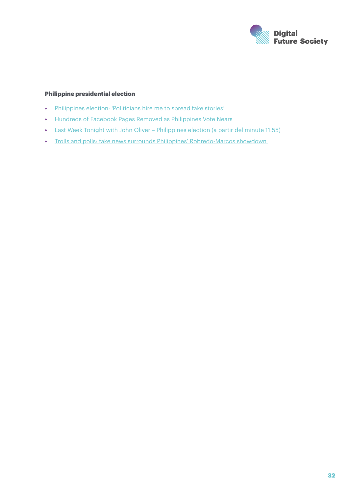

#### Philippine presidential election

- [Philippines election: 'Politicians hire me to spread fake stories'](https://www.bbc.com/news/blogs-trending-61339293)
- [Hundreds of Facebook Pages Removed as Philippines Vote Nears](https://www.bloomberg.com/news/articles/2022-04-07/meta-removes-400-facebook-accounts-ahead-of-philippine-elections)
- [Last Week Tonight with John Oliver Philippines election \(a partir del minute 11:55\)](https://www.youtube.com/watch?v=FtdVglihDok&ab_channel=LastWeekTonight)
- [Trolls and polls: fake news surrounds Philippines' Robredo-Marcos showdown](https://www.scmp.com/week-asia/politics/article/3175150/trolls-and-polls-fake-news-surrounds-philippines-robredo-marcos)